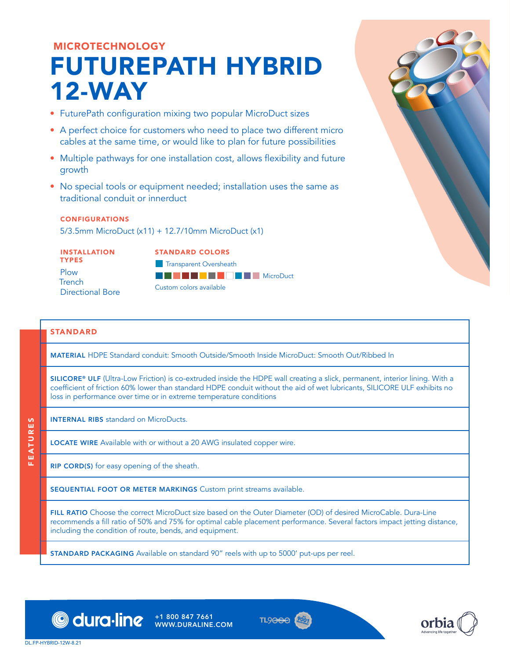# MICROTECHNOLOGY FUTUREPATH HYBRID 12-WAY

- FuturePath configuration mixing two popular MicroDuct sizes
- A perfect choice for customers who need to place two different micro cables at the same time, or would like to plan for future possibilities
- Multiple pathways for one installation cost, allows flexibility and future growth
- No special tools or equipment needed; installation uses the same as traditional conduit or innerduct

### CONFIGURATIONS

5/3.5mm MicroDuct (x11) + 12.7/10mm MicroDuct (x1)

INSTALLATION TYPES Plow **Trench** Directional Bore STANDARD COLORS Transparent Oversheath **BGDSCXFAWWWW.MicroDuct** Custom colors available

## STANDARD

MATERIAL HDPE Standard conduit: Smooth Outside/Smooth Inside MicroDuct: Smooth Out/Ribbed In

SILICORE® ULF (Ultra-Low Friction) is co-extruded inside the HDPE wall creating a slick, permanent, interior lining. With a coefficient of friction 60% lower than standard HDPE conduit without the aid of wet lubricants, SILICORE ULF exhibits no loss in performance over time or in extreme temperature conditions

INTERNAL RIBS standard on MicroDucts.

LOCATE WIRE Available with or without a 20 AWG insulated copper wire.

RIP CORD(S) for easy opening of the sheath.

SEQUENTIAL FOOT OR METER MARKINGS Custom print streams available.

FILL RATIO Choose the correct MicroDuct size based on the Outer Diameter (OD) of desired MicroCable. Dura-Line recommends a fill ratio of 50% and 75% for optimal cable placement performance. Several factors impact jetting distance, including the condition of route, bends, and equipment.

**STANDARD PACKAGING** Available on standard 90" reels with up to 5000' put-ups per reel.



WWW.DURALINE.COM





FEATURES

ū.

EATURES